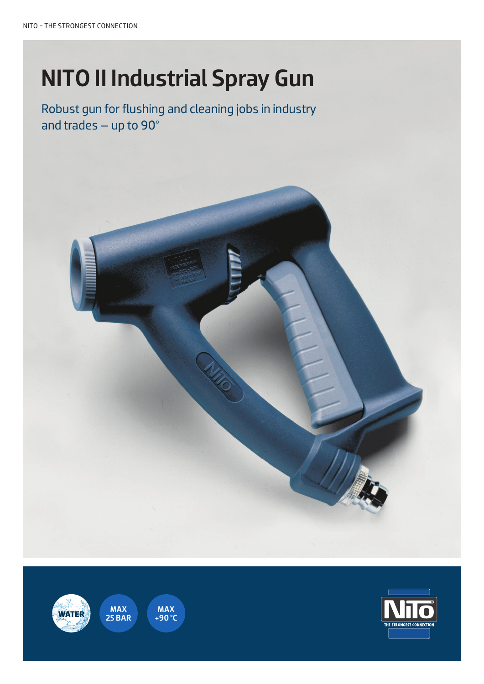# NITO II Industrial Spray Gun

Robust gun for flushing and cleaning jobs in industry and trades – up to 90°







MAX